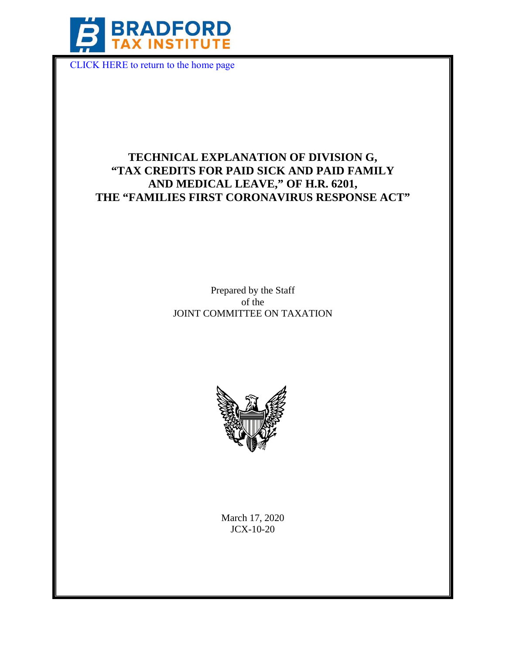

[CLICK HERE to return to the home page](http://www.bradfordtaxinstitute.com) 

# **TECHNICAL EXPLANATION OF DIVISION G, "TAX CREDITS FOR PAID SICK AND PAID FAMILY AND MEDICAL LEAVE," OF H.R. 6201, THE "FAMILIES FIRST CORONAVIRUS RESPONSE ACT"**

Prepared by the Staff of the JOINT COMMITTEE ON TAXATION



March 17, 2020 JCX-10-20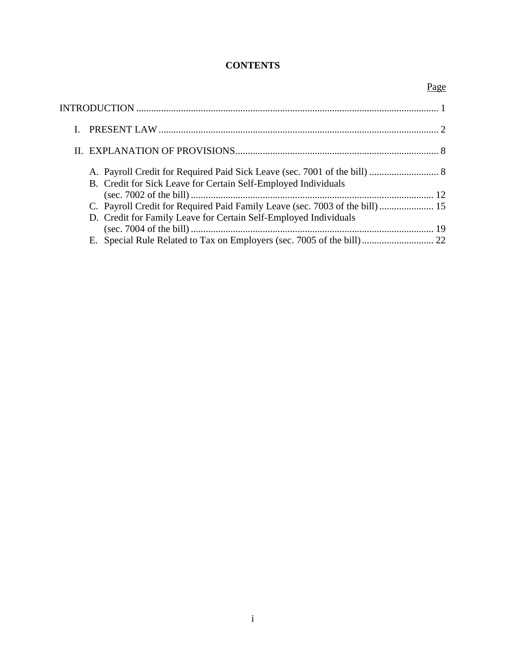# **CONTENTS**

|                                                                  | Page |
|------------------------------------------------------------------|------|
|                                                                  |      |
|                                                                  |      |
|                                                                  |      |
| B. Credit for Sick Leave for Certain Self-Employed Individuals   |      |
|                                                                  |      |
|                                                                  |      |
| D. Credit for Family Leave for Certain Self-Employed Individuals |      |
|                                                                  |      |
|                                                                  |      |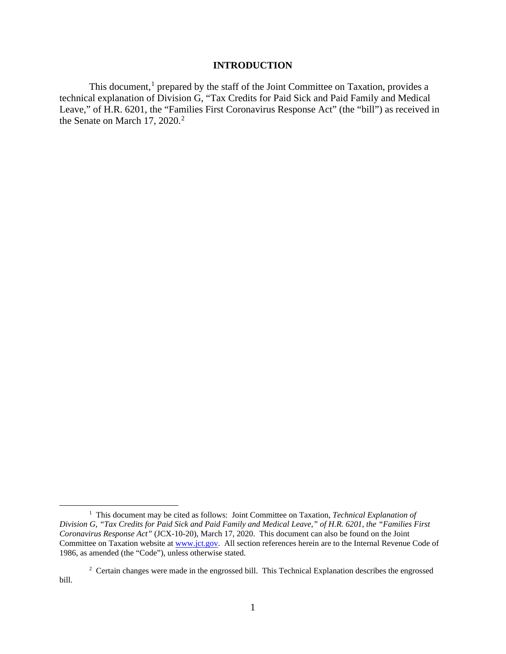#### **INTRODUCTION**

<span id="page-2-0"></span>This document,<sup>[1](#page-2-1)</sup> prepared by the staff of the Joint Committee on Taxation, provides a technical explanation of Division G, "Tax Credits for Paid Sick and Paid Family and Medical Leave," of H.R. 6201, the "Families First Coronavirus Response Act" (the "bill") as received in the Senate on March 17, [2](#page-2-2)020. $2$ 

<span id="page-2-1"></span><sup>&</sup>lt;sup>1</sup> This document may be cited as follows: Joint Committee on Taxation, *Technical Explanation of Division G, "Tax Credits for Paid Sick and Paid Family and Medical Leave," of H.R. 6201, the "Families First Coronavirus Response Act"* (JCX-10-20), March 17, 2020. This document can also be found on the Joint Committee on Taxation website at [www.jct.gov.](http://www.jct.gov/) All section references herein are to the Internal Revenue Code of 1986, as amended (the "Code"), unless otherwise stated.

<span id="page-2-2"></span> $2$  Certain changes were made in the engrossed bill. This Technical Explanation describes the engrossed bill.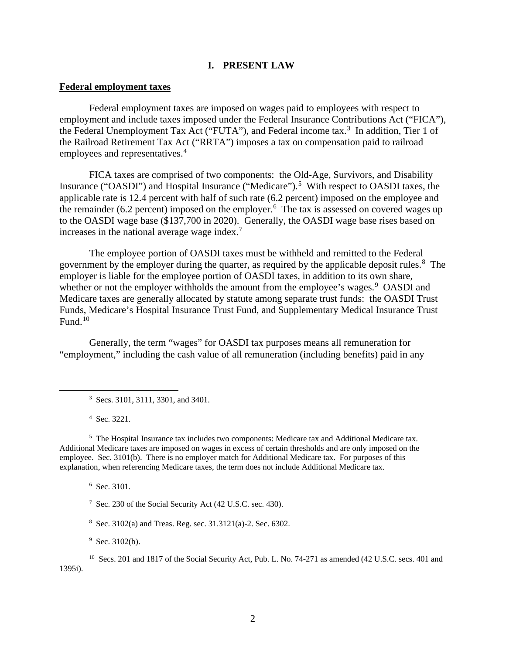#### **I. PRESENT LAW**

#### <span id="page-3-0"></span>**Federal employment taxes**

Federal employment taxes are imposed on wages paid to employees with respect to employment and include taxes imposed under the Federal Insurance Contributions Act ("FICA"), the Federal Unemployment Tax Act ("FUTA"), and Federal income tax.<sup>[3](#page-3-1)</sup> In addition, Tier 1 of the Railroad Retirement Tax Act ("RRTA") imposes a tax on compensation paid to railroad employees and representatives.<sup>[4](#page-3-2)</sup>

FICA taxes are comprised of two components: the Old-Age, Survivors, and Disability Insurance ("OASDI") and Hospital Insurance ("Medicare").<sup>[5](#page-3-3)</sup> With respect to OASDI taxes, the applicable rate is 12.4 percent with half of such rate (6.2 percent) imposed on the employee and the remainder  $(6.2$  $(6.2$  $(6.2$  percent) imposed on the employer.<sup>6</sup> The tax is assessed on covered wages up to the OASDI wage base (\$137,700 in 2020). Generally, the OASDI wage base rises based on increases in the national average wage index.[7](#page-3-5)

The employee portion of OASDI taxes must be withheld and remitted to the Federal government by the employer during the quarter, as required by the applicable deposit rules.<sup>[8](#page-3-6)</sup> The employer is liable for the employee portion of OASDI taxes, in addition to its own share, whether or not the employer withholds the amount from the employee's wages.<sup>[9](#page-3-7)</sup> OASDI and Medicare taxes are generally allocated by statute among separate trust funds: the OASDI Trust Funds, Medicare's Hospital Insurance Trust Fund, and Supplementary Medical Insurance Trust Fund. $10$ 

Generally, the term "wages" for OASDI tax purposes means all remuneration for "employment," including the cash value of all remuneration (including benefits) paid in any

<sup>3</sup> Secs. 3101, 3111, 3301, and 3401.

4 Sec. 3221.

<span id="page-3-4"></span><span id="page-3-3"></span><span id="page-3-2"></span><span id="page-3-1"></span><sup>5</sup> The Hospital Insurance tax includes two components: Medicare tax and Additional Medicare tax. Additional Medicare taxes are imposed on wages in excess of certain thresholds and are only imposed on the employee. Sec. 3101(b). There is no employer match for Additional Medicare tax. For purposes of this explanation, when referencing Medicare taxes, the term does not include Additional Medicare tax.

6 Sec. 3101.

7 Sec. 230 of the Social Security Act (42 U.S.C. sec. 430).

8 Sec. 3102(a) and Treas. Reg. sec. 31.3121(a)-2. Sec. 6302.

 $9$  Sec. 3102(b).

<span id="page-3-8"></span><span id="page-3-7"></span><span id="page-3-6"></span><span id="page-3-5"></span><sup>10</sup> Secs. 201 and 1817 of the Social Security Act, Pub. L. No. 74-271 as amended (42 U.S.C. secs. 401 and 1395i).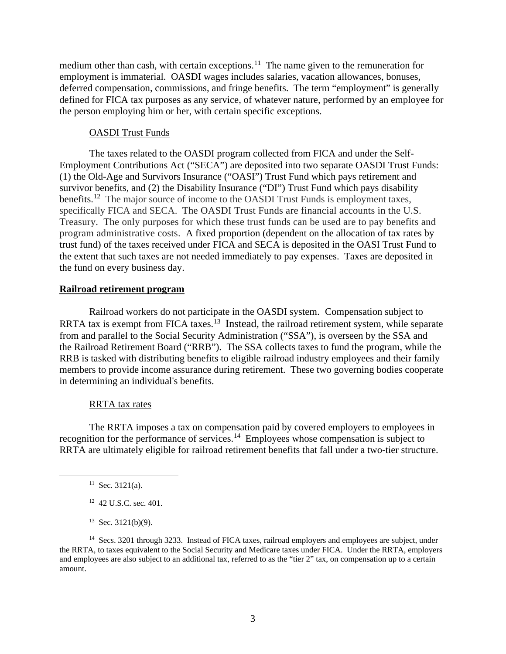medium other than cash, with certain exceptions.<sup>11</sup> The name given to the remuneration for employment is immaterial. OASDI wages includes salaries, vacation allowances, bonuses, deferred compensation, commissions, and fringe benefits. The term "employment" is generally defined for FICA tax purposes as any service, of whatever nature, performed by an employee for the person employing him or her, with certain specific exceptions.

#### OASDI Trust Funds

The taxes related to the OASDI program collected from FICA and under the Self-Employment Contributions Act ("SECA") are deposited into two separate OASDI Trust Funds: (1) the Old-Age and Survivors Insurance ("OASI") Trust Fund which pays retirement and survivor benefits, and (2) the Disability Insurance ("DI") Trust Fund which pays disability benefits.<sup>12</sup> The major source of income to the OASDI Trust Funds is employment taxes, specifically FICA and SECA. The OASDI Trust Funds are financial accounts in the U.S. Treasury. The only purposes for which these trust funds can be used are to pay benefits and program administrative costs. A fixed proportion (dependent on the allocation of [tax rates](https://www.ssa.gov/OACT/ProgData/taxRates.html) by trust fund) of the [taxes](https://www.ssa.gov/OACT/ProgData/financialItems.html) received under FICA and SECA is deposited in the OASI Trust Fund to the extent that such taxes are not needed immediately to pay expenses. Taxes are [deposited in](https://www.ssa.gov/OACT/ProgData/taxflow.html)  [the fund](https://www.ssa.gov/OACT/ProgData/taxflow.html) on every business day.

#### **Railroad retirement program**

Railroad workers do not participate in the [OASDI](https://www.thebalance.com/how-to-calculate-your-projected-social-security-benefits-2894589) system. Compensation subject to RRTA tax is exempt from FICA taxes.<sup>13</sup> Instead, the railroad retirement system, while separate from and parallel to the Social Security Administration ("SSA"), is overseen by the SSA and the [Railroad Retirement Board](https://secure.rrb.gov/) ("RRB"). The SSA collects taxes to fund the program, while the RRB is tasked with distributing benefits to eligible railroad industry employees and their family members to provide income assurance during retirement. These two governing bodies cooperate in determining an individual's benefits.

#### RRTA tax rates

The RRTA imposes a tax on compensation paid by covered employers to employees in recognition for the performance of services.<sup>[14](#page-4-3)</sup> Employees whose compensation is subject to RRTA are ultimately eligible for railroad retirement benefits that fall under a two-tier structure.

 $13$  Sec. 3121(b)(9).

<span id="page-4-3"></span><span id="page-4-2"></span><span id="page-4-1"></span><span id="page-4-0"></span><sup>14</sup> Secs. 3201 through 3233. Instead of FICA taxes, railroad employers and employees are subject, under the RRTA, to taxes equivalent to the Social Security and Medicare taxes under FICA. Under the RRTA, employers and employees are also subject to an additional tax, referred to as the "tier 2" tax, on compensation up to a certain amount.

 $11$  Sec. 3121(a).

<sup>&</sup>lt;sup>12</sup> 42 U.S.C. sec. 401.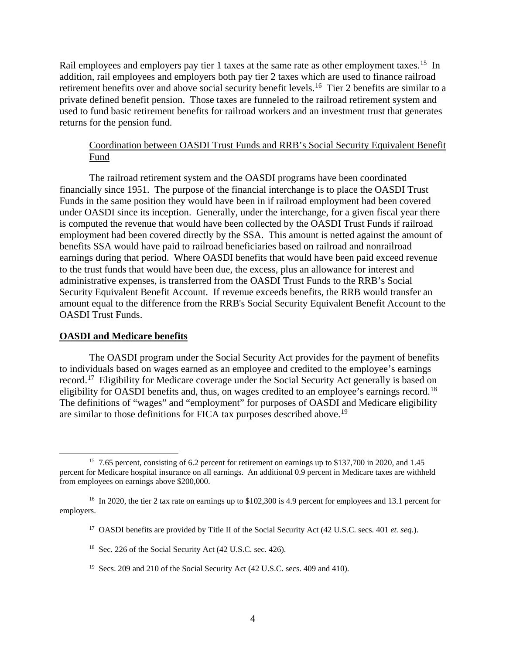Rail employees and employers pay tier 1 taxes at the same rate as other employment taxes.<sup>15</sup> In addition, rail employees and employers both pay tier 2 taxes which are used to finance railroad retirement benefits over and above social security benefit levels.<sup>[16](#page-5-1)</sup> Tier 2 benefits are similar to a private defined benefit pension. Those taxes are funneled to the railroad retirement system and used to fund basic retirement benefits for railroad workers and an investment trust that generates returns for the pension fund.

## Coordination between OASDI Trust Funds and RRB's Social Security Equivalent Benefit Fund

The railroad retirement system and the OASDI programs have been coordinated financially since 1951. The purpose of the financial interchange is to place the OASDI Trust Funds in the same position they would have been in if railroad employment had been covered under OASDI since its inception. Generally, under the interchange, for a given fiscal year there is computed the revenue that would have been collected by the OASDI Trust Funds if railroad employment had been covered directly by the SSA. This amount is netted against the amount of benefits SSA would have paid to railroad beneficiaries based on railroad and nonrailroad earnings during that period. Where OASDI benefits that would have been paid exceed revenue to the trust funds that would have been due, the excess, plus an allowance for interest and administrative expenses, is transferred from the OASDI Trust Funds to the RRB's Social Security Equivalent Benefit Account. If revenue exceeds benefits, the RRB would transfer an amount equal to the difference from the RRB's Social Security Equivalent Benefit Account to the OASDI Trust Funds.

#### **OASDI and Medicare benefits**

The OASDI program under the Social Security Act provides for the payment of benefits to individuals based on wages earned as an employee and credited to the employee's earnings record.<sup>[17](#page-5-2)</sup> Eligibility for Medicare coverage under the Social Security Act generally is based on eligibility for OASDI benefits and, thus, on wages credited to an employee's earnings record.<sup>[18](#page-5-3)</sup> The definitions of "wages" and "employment" for purposes of OASDI and Medicare eligibility are similar to those definitions for FICA tax purposes described above.[19](#page-5-4) 

<span id="page-5-0"></span><sup>&</sup>lt;sup>15</sup> 7.65 percent, consisting of 6.2 percent for retirement on earnings up to \$137,700 in 2020, and 1.45 percent for Medicare hospital insurance on all earnings. An additional 0.9 percent in Medicare taxes are withheld from employees on earnings above \$200,000.

<span id="page-5-3"></span><span id="page-5-2"></span><span id="page-5-1"></span><sup>&</sup>lt;sup>16</sup> In 2020, the tier 2 tax rate on earnings up to \$102,300 is 4.9 percent for employees and 13.1 percent for employers.

<sup>17</sup> OASDI benefits are provided by Title II of the Social Security Act (42 U.S.C. secs. 401 *et. seq.*).

<sup>&</sup>lt;sup>18</sup> Sec. 226 of the Social Security Act (42 U.S.C. sec. 426).

<span id="page-5-4"></span><sup>&</sup>lt;sup>19</sup> Secs. 209 and 210 of the Social Security Act (42 U.S.C. secs. 409 and 410).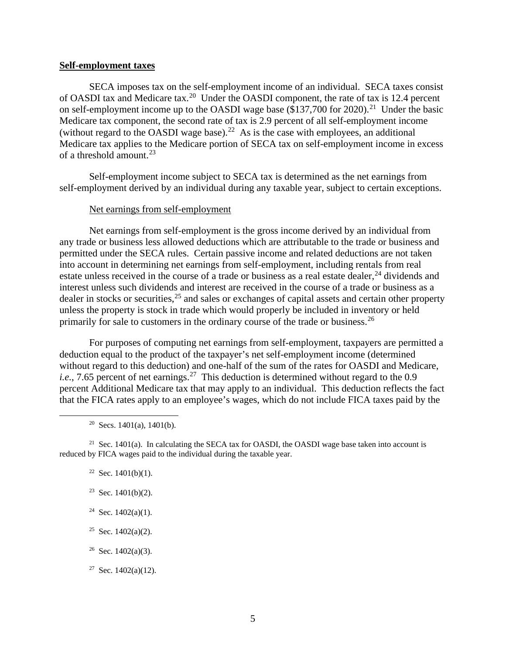#### **Self-employment taxes**

SECA imposes tax on the self-employment income of an individual. SECA taxes consist of OASDI tax and Medicare tax.[20](#page-6-0) Under the OASDI component, the rate of tax is 12.4 percent on self-employment income up to the OASDI wage base  $(\$137,700$  for 2020).<sup>[21](#page-6-1)</sup> Under the basic Medicare tax component, the second rate of tax is 2.9 percent of all self-employment income (without regard to the OASDI wage base).<sup>[22](#page-6-2)</sup> As is the case with employees, an additional Medicare tax applies to the Medicare portion of SECA tax on self-employment income in excess of a threshold amount.<sup>[23](#page-6-3)</sup>

Self-employment income subject to SECA tax is determined as the net earnings from self-employment derived by an individual during any taxable year, subject to certain exceptions.

#### Net earnings from self-employment

Net earnings from self-employment is the gross income derived by an individual from any trade or business less allowed deductions which are attributable to the trade or business and permitted under the SECA rules. Certain passive income and related deductions are not taken into account in determining net earnings from self-employment, including rentals from real estate unless received in the course of a trade or business as a real estate dealer,  $^{24}$  $^{24}$  $^{24}$  dividends and interest unless such dividends and interest are received in the course of a trade or business as a dealer in stocks or securities,<sup>[25](#page-6-5)</sup> and sales or exchanges of capital assets and certain other property unless the property is stock in trade which would properly be included in inventory or held primarily for sale to customers in the ordinary course of the trade or business.<sup>[26](#page-6-6)</sup>

For purposes of computing net earnings from self-employment, taxpayers are permitted a deduction equal to the product of the taxpayer's net self-employment income (determined without regard to this deduction) and one-half of the sum of the rates for OASDI and Medicare, *i.e.*, 7.65 percent of net earnings.<sup>27</sup> This deduction is determined without regard to the 0.9 percent Additional Medicare tax that may apply to an individual. This deduction reflects the fact that the FICA rates apply to an employee's wages, which do not include FICA taxes paid by the

- <sup>22</sup> Sec. 1401(b)(1).
- <sup>23</sup> Sec. 1401(b)(2).
- <span id="page-6-4"></span><sup>24</sup> Sec. 1402(a)(1).
- <span id="page-6-5"></span><sup>25</sup> Sec. 1402(a)(2).
- <span id="page-6-6"></span> $26$  Sec. 1402(a)(3).
- <span id="page-6-7"></span><sup>27</sup> Sec. 1402(a)(12).

<sup>&</sup>lt;sup>20</sup> Secs. 1401(a), 1401(b).

<span id="page-6-3"></span><span id="page-6-2"></span><span id="page-6-1"></span><span id="page-6-0"></span><sup>&</sup>lt;sup>21</sup> Sec. 1401(a). In calculating the SECA tax for OASDI, the OASDI wage base taken into account is reduced by FICA wages paid to the individual during the taxable year.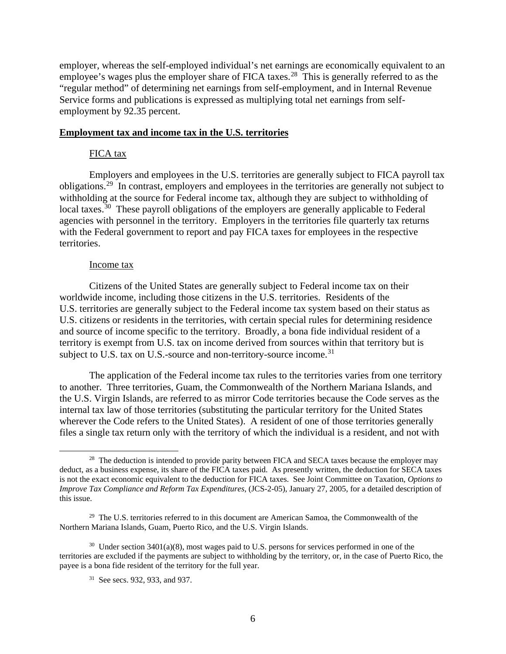employer, whereas the self-employed individual's net earnings are economically equivalent to an employee's wages plus the employer share of FICA taxes.<sup>[28](#page-7-0)</sup> This is generally referred to as the "regular method" of determining net earnings from self-employment, and in Internal Revenue Service forms and publications is expressed as multiplying total net earnings from selfemployment by 92.35 percent.

#### **Employment tax and income tax in the U.S. territories**

#### FICA tax

Employers and employees in the U.S. territories are generally subject to FICA payroll tax obligations.[29](#page-7-1) In contrast, employers and employees in the territories are generally not subject to withholding at the source for Federal income tax, although they are subject to withholding of local taxes.<sup>30</sup> These payroll obligations of the employers are generally applicable to Federal agencies with personnel in the territory. Employers in the territories file quarterly tax returns with the Federal government to report and pay FICA taxes for employees in the respective territories.

#### Income tax

Citizens of the United States are generally subject to Federal income tax on their worldwide income, including those citizens in the U.S. territories. Residents of the U.S. territories are generally subject to the Federal income tax system based on their status as U.S. citizens or residents in the territories, with certain special rules for determining residence and source of income specific to the territory. Broadly, a bona fide individual resident of a territory is exempt from U.S. tax on income derived from sources within that territory but is subject to U.S. tax on U.S.-source and non-territory-source income.<sup>[31](#page-7-3)</sup>

The application of the Federal income tax rules to the territories varies from one territory to another. Three territories, Guam, the Commonwealth of the Northern Mariana Islands, and the U.S. Virgin Islands, are referred to as mirror Code territories because the Code serves as the internal tax law of those territories (substituting the particular territory for the United States wherever the Code refers to the United States). A resident of one of those territories generally files a single tax return only with the territory of which the individual is a resident, and not with

<span id="page-7-0"></span> $28$  The deduction is intended to provide parity between FICA and SECA taxes because the employer may deduct, as a business expense, its share of the FICA taxes paid. As presently written, the deduction for SECA taxes is not the exact economic equivalent to the deduction for FICA taxes. See Joint Committee on Taxation, *Options to Improve Tax Compliance and Reform Tax Expenditures*, (JCS-2-05), January 27, 2005, for a detailed description of this issue.

<span id="page-7-1"></span><sup>&</sup>lt;sup>29</sup> The U.S. territories referred to in this document are American Samoa, the Commonwealth of the Northern Mariana Islands, Guam, Puerto Rico, and the U.S. Virgin Islands.

<span id="page-7-3"></span><span id="page-7-2"></span> $30 \text{ Under section } 3401(a)(8)$ , most wages paid to U.S. persons for services performed in one of the territories are excluded if the payments are subject to withholding by the territory, or, in the case of Puerto Rico, the payee is a bona fide resident of the territory for the full year.

<sup>31</sup> See secs. 932, 933, and 937.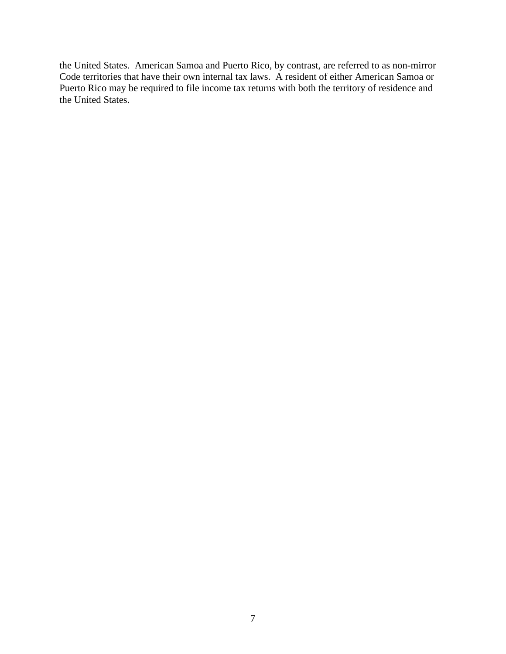<span id="page-8-0"></span>the United States. American Samoa and Puerto Rico, by contrast, are referred to as non-mirror Code territories that have their own internal tax laws. A resident of either American Samoa or Puerto Rico may be required to file income tax returns with both the territory of residence and Puerto Rico may be required to file income tax returns with both the territory of residence and the United States.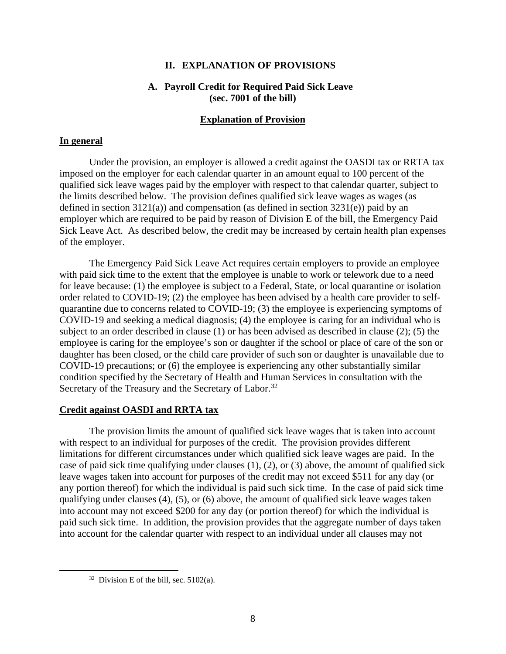#### **II. EXPLANATION OF PROVISIONS**

## **A. Payroll Credit for Required Paid Sick Leave (sec. 7001 of the bill)**

#### **Explanation of Provision**

#### <span id="page-9-0"></span>**In general**

Under the provision, an employer is allowed a credit against the OASDI tax or RRTA tax imposed on the employer for each calendar quarter in an amount equal to 100 percent of the qualified sick leave wages paid by the employer with respect to that calendar quarter, subject to the limits described below. The provision defines qualified sick leave wages as wages (as defined in section  $3121(a)$ ) and compensation (as defined in section  $3231(e)$ ) paid by an employer which are required to be paid by reason of Division E of the bill, the Emergency Paid Sick Leave Act. As described below, the credit may be increased by certain health plan expenses of the employer.

The Emergency Paid Sick Leave Act requires certain employers to provide an employee with paid sick time to the extent that the employee is unable to work or telework due to a need for leave because: (1) the employee is subject to a Federal, State, or local quarantine or isolation order related to COVID-19; (2) the employee has been advised by a health care provider to selfquarantine due to concerns related to COVID-19; (3) the employee is experiencing symptoms of COVID-19 and seeking a medical diagnosis; (4) the employee is caring for an individual who is subject to an order described in clause (1) or has been advised as described in clause (2); (5) the employee is caring for the employee's son or daughter if the school or place of care of the son or daughter has been closed, or the child care provider of such son or daughter is unavailable due to COVID-19 precautions; or (6) the employee is experiencing any other substantially similar condition specified by the Secretary of Health and Human Services in consultation with the Secretary of the Treasury and the Secretary of Labor.<sup>[32](#page-9-1)</sup>

#### **Credit against OASDI and RRTA tax**

The provision limits the amount of qualified sick leave wages that is taken into account with respect to an individual for purposes of the credit. The provision provides different limitations for different circumstances under which qualified sick leave wages are paid. In the case of paid sick time qualifying under clauses (1), (2), or (3) above, the amount of qualified sick leave wages taken into account for purposes of the credit may not exceed \$511 for any day (or any portion thereof) for which the individual is paid such sick time. In the case of paid sick time qualifying under clauses (4), (5), or (6) above, the amount of qualified sick leave wages taken into account may not exceed \$200 for any day (or portion thereof) for which the individual is paid such sick time. In addition, the provision provides that the aggregate number of days taken into account for the calendar quarter with respect to an individual under all clauses may not

<span id="page-9-1"></span> $32$  Division E of the bill, sec. 5102(a).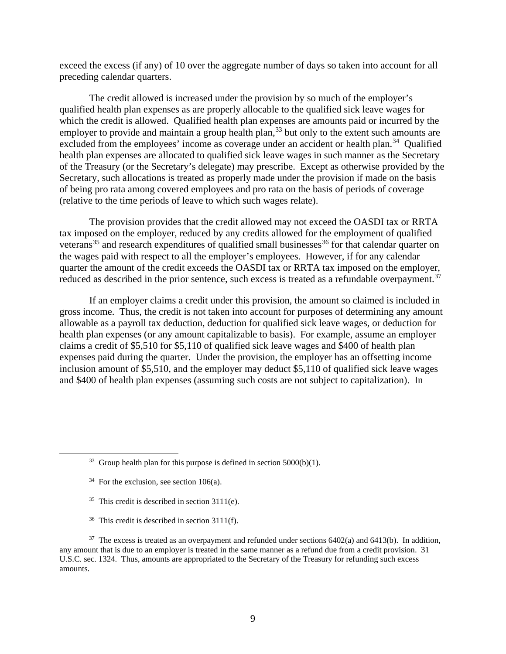exceed the excess (if any) of 10 over the aggregate number of days so taken into account for all preceding calendar quarters.

The credit allowed is increased under the provision by so much of the employer's qualified health plan expenses as are properly allocable to the qualified sick leave wages for which the credit is allowed. Qualified health plan expenses are amounts paid or incurred by the employer to provide and maintain a group health plan,  $33$  but only to the extent such amounts are excluded from the employees' income as coverage under an accident or health plan.<sup>[34](#page-10-1)</sup> Oualified health plan expenses are allocated to qualified sick leave wages in such manner as the Secretary of the Treasury (or the Secretary's delegate) may prescribe. Except as otherwise provided by the Secretary, such allocations is treated as properly made under the provision if made on the basis of being pro rata among covered employees and pro rata on the basis of periods of coverage (relative to the time periods of leave to which such wages relate).

The provision provides that the credit allowed may not exceed the OASDI tax or RRTA tax imposed on the employer, reduced by any credits allowed for the employment of qualified veterans<sup>[35](#page-10-2)</sup> and research expenditures of qualified small businesses<sup>[36](#page-10-3)</sup> for that calendar quarter on the wages paid with respect to all the employer's employees. However, if for any calendar quarter the amount of the credit exceeds the OASDI tax or RRTA tax imposed on the employer, reduced as described in the prior sentence, such excess is treated as a refundable overpayment.<sup>[37](#page-10-4)</sup>

If an employer claims a credit under this provision, the amount so claimed is included in gross income. Thus, the credit is not taken into account for purposes of determining any amount allowable as a payroll tax deduction, deduction for qualified sick leave wages, or deduction for health plan expenses (or any amount capitalizable to basis). For example, assume an employer claims a credit of \$5,510 for \$5,110 of qualified sick leave wages and \$400 of health plan expenses paid during the quarter. Under the provision, the employer has an offsetting income inclusion amount of \$5,510, and the employer may deduct \$5,110 of qualified sick leave wages and \$400 of health plan expenses (assuming such costs are not subject to capitalization). In

- $35$  This credit is described in section 3111(e).
- 36 This credit is described in section 3111(f).

<span id="page-10-0"></span> $33$  Group health plan for this purpose is defined in section  $5000(b)(1)$ .

 $34$  For the exclusion, see section 106(a).

<span id="page-10-4"></span><span id="page-10-3"></span><span id="page-10-2"></span><span id="page-10-1"></span> $37$  The excess is treated as an overpayment and refunded under sections  $6402(a)$  and  $6413(b)$ . In addition, any amount that is due to an employer is treated in the same manner as a refund due from a credit provision. 31 U.S.C. sec. 1324. Thus, amounts are appropriated to the Secretary of the Treasury for refunding such excess amounts.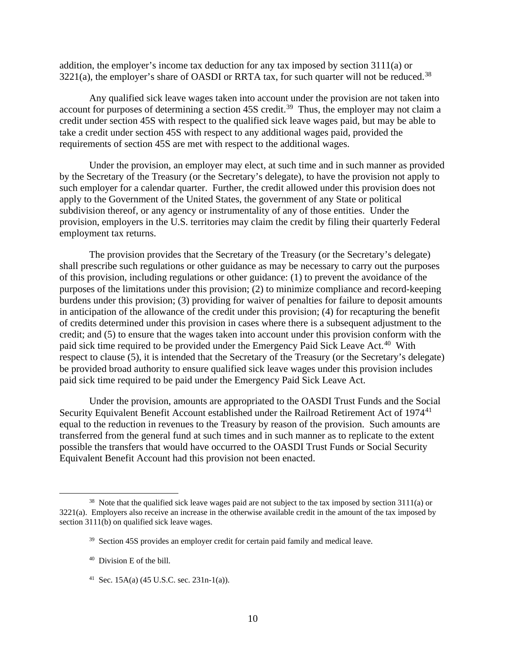addition, the employer's income tax deduction for any tax imposed by section 3111(a) or  $3221(a)$ , the employer's share of OASDI or RRTA tax, for such quarter will not be reduced.<sup>[38](#page-11-0)</sup>

Any qualified sick leave wages taken into account under the provision are not taken into account for purposes of determining a section 45S credit.<sup>39</sup> Thus, the employer may not claim a credit under section 45S with respect to the qualified sick leave wages paid, but may be able to take a credit under section 45S with respect to any additional wages paid, provided the requirements of section 45S are met with respect to the additional wages.

Under the provision, an employer may elect, at such time and in such manner as provided by the Secretary of the Treasury (or the Secretary's delegate), to have the provision not apply to such employer for a calendar quarter. Further, the credit allowed under this provision does not apply to the Government of the United States, the government of any State or political subdivision thereof, or any agency or instrumentality of any of those entities. Under the provision, employers in the U.S. territories may claim the credit by filing their quarterly Federal employment tax returns.

The provision provides that the Secretary of the Treasury (or the Secretary's delegate) shall prescribe such regulations or other guidance as may be necessary to carry out the purposes of this provision, including regulations or other guidance: (1) to prevent the avoidance of the purposes of the limitations under this provision; (2) to minimize compliance and record-keeping burdens under this provision; (3) providing for waiver of penalties for failure to deposit amounts in anticipation of the allowance of the credit under this provision; (4) for recapturing the benefit of credits determined under this provision in cases where there is a subsequent adjustment to the credit; and (5) to ensure that the wages taken into account under this provision conform with the paid sick time required to be provided under the Emergency Paid Sick Leave Act.<sup>[40](#page-11-2)</sup> With respect to clause (5), it is intended that the Secretary of the Treasury (or the Secretary's delegate) be provided broad authority to ensure qualified sick leave wages under this provision includes paid sick time required to be paid under the Emergency Paid Sick Leave Act.

Under the provision, amounts are appropriated to the OASDI Trust Funds and the Social Security Equivalent Benefit Account established under the Railroad Retirement Act of 1974<sup>[41](#page-11-3)</sup> equal to the reduction in revenues to the Treasury by reason of the provision. Such amounts are transferred from the general fund at such times and in such manner as to replicate to the extent possible the transfers that would have occurred to the OASDI Trust Funds or Social Security Equivalent Benefit Account had this provision not been enacted.

- 40 Division E of the bill.
- <span id="page-11-3"></span><sup>41</sup> Sec. 15A(a) (45 U.S.C. sec. 231n-1(a)).

<span id="page-11-2"></span><span id="page-11-1"></span><span id="page-11-0"></span> $38$  Note that the qualified sick leave wages paid are not subject to the tax imposed by section  $3111(a)$  or 3221(a). Employers also receive an increase in the otherwise available credit in the amount of the tax imposed by section 3111(b) on qualified sick leave wages.

<sup>&</sup>lt;sup>39</sup> Section 45S provides an employer credit for certain paid family and medical leave.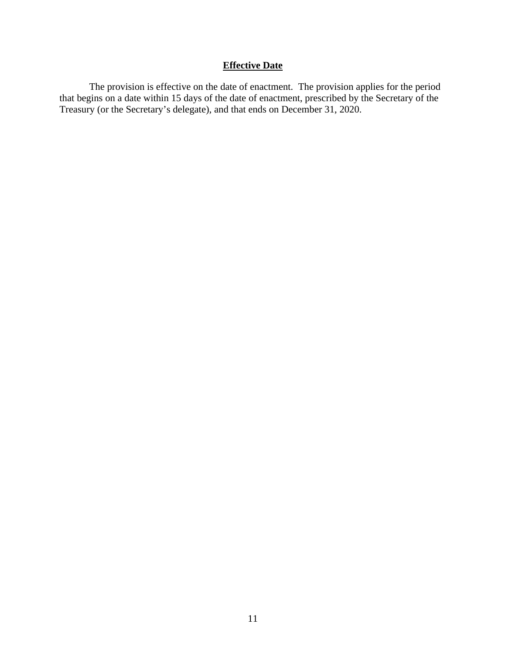## **Effective Date**

The provision is effective on the date of enactment. The provision applies for the period that begins on a date within 15 days of the date of enactment, prescribed by the Secretary of the Treasury (or the Secretary's delegate), and that ends on December 31, 2020.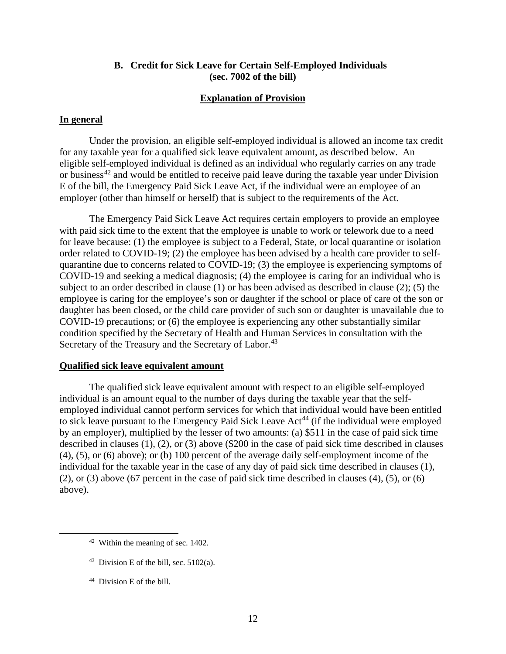## <span id="page-13-0"></span>**B. Credit for Sick Leave for Certain Self-Employed Individuals (sec. 7002 of the bill)**

#### **Explanation of Provision**

#### **In general**

Under the provision, an eligible self-employed individual is allowed an income tax credit for any taxable year for a qualified sick leave equivalent amount, as described below. An eligible self-employed individual is defined as an individual who regularly carries on any trade or business<sup>[42](#page-13-1)</sup> and would be entitled to receive paid leave during the taxable year under Division E of the bill, the Emergency Paid Sick Leave Act, if the individual were an employee of an employer (other than himself or herself) that is subject to the requirements of the Act.

The Emergency Paid Sick Leave Act requires certain employers to provide an employee with paid sick time to the extent that the employee is unable to work or telework due to a need for leave because: (1) the employee is subject to a Federal, State, or local quarantine or isolation order related to COVID-19; (2) the employee has been advised by a health care provider to selfquarantine due to concerns related to COVID-19; (3) the employee is experiencing symptoms of COVID-19 and seeking a medical diagnosis; (4) the employee is caring for an individual who is subject to an order described in clause (1) or has been advised as described in clause (2); (5) the employee is caring for the employee's son or daughter if the school or place of care of the son or daughter has been closed, or the child care provider of such son or daughter is unavailable due to COVID-19 precautions; or (6) the employee is experiencing any other substantially similar condition specified by the Secretary of Health and Human Services in consultation with the Secretary of the Treasury and the Secretary of Labor.<sup>[43](#page-13-2)</sup>

#### **Qualified sick leave equivalent amount**

The qualified sick leave equivalent amount with respect to an eligible self-employed individual is an amount equal to the number of days during the taxable year that the selfemployed individual cannot perform services for which that individual would have been entitled to sick leave pursuant to the Emergency Paid Sick Leave Act<sup>[44](#page-13-3)</sup> (if the individual were employed by an employer), multiplied by the lesser of two amounts: (a) \$511 in the case of paid sick time described in clauses (1), (2), or (3) above (\$200 in the case of paid sick time described in clauses (4), (5), or (6) above); or (b) 100 percent of the average daily self-employment income of the individual for the taxable year in the case of any day of paid sick time described in clauses (1), (2), or (3) above (67 percent in the case of paid sick time described in clauses (4), (5), or (6) above).

<span id="page-13-3"></span>44 Division E of the bill.

<span id="page-13-1"></span><sup>42</sup> Within the meaning of sec. 1402.

<span id="page-13-2"></span><sup>&</sup>lt;sup>43</sup> Division E of the bill, sec.  $5102(a)$ .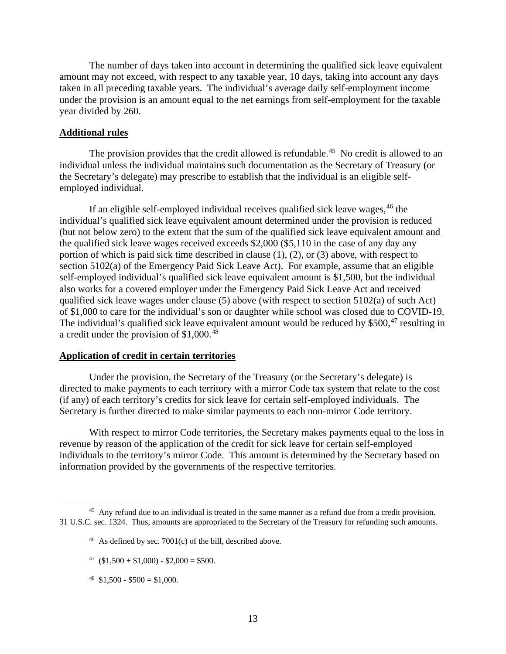The number of days taken into account in determining the qualified sick leave equivalent amount may not exceed, with respect to any taxable year, 10 days, taking into account any days taken in all preceding taxable years. The individual's average daily self-employment income under the provision is an amount equal to the net earnings from self-employment for the taxable year divided by 260.

#### **Additional rules**

The provision provides that the credit allowed is refundable.<sup>[45](#page-14-0)</sup> No credit is allowed to an individual unless the individual maintains such documentation as the Secretary of Treasury (or the Secretary's delegate) may prescribe to establish that the individual is an eligible selfemployed individual.

If an eligible self-employed individual receives qualified sick leave wages,  $46$  the individual's qualified sick leave equivalent amount determined under the provision is reduced (but not below zero) to the extent that the sum of the qualified sick leave equivalent amount and the qualified sick leave wages received exceeds \$2,000 (\$5,110 in the case of any day any portion of which is paid sick time described in clause (1), (2), or (3) above, with respect to section 5102(a) of the Emergency Paid Sick Leave Act). For example, assume that an eligible self-employed individual's qualified sick leave equivalent amount is \$1,500, but the individual also works for a covered employer under the Emergency Paid Sick Leave Act and received qualified sick leave wages under clause (5) above (with respect to section 5102(a) of such Act) of \$1,000 to care for the individual's son or daughter while school was closed due to COVID-19. The individual's qualified sick leave equivalent amount would be reduced by \$500,<sup>[47](#page-14-2)</sup> resulting in a credit under the provision of \$1,000.<sup>[48](#page-14-3)</sup>

#### **Application of credit in certain territories**

Under the provision, the Secretary of the Treasury (or the Secretary's delegate) is directed to make payments to each territory with a mirror Code tax system that relate to the cost (if any) of each territory's credits for sick leave for certain self-employed individuals. The Secretary is further directed to make similar payments to each non-mirror Code territory.

With respect to mirror Code territories, the Secretary makes payments equal to the loss in revenue by reason of the application of the credit for sick leave for certain self-employed individuals to the territory's mirror Code. This amount is determined by the Secretary based on information provided by the governments of the respective territories.

- $46$  As defined by sec. 7001(c) of the bill, described above.
- $47$  (\$1,500 + \$1,000) \$2,000 = \$500.
- <span id="page-14-3"></span> $48$  \$1,500 - \$500 = \$1,000.

<span id="page-14-2"></span><span id="page-14-1"></span><span id="page-14-0"></span><sup>&</sup>lt;sup>45</sup> Any refund due to an individual is treated in the same manner as a refund due from a credit provision. 31 U.S.C. sec. 1324. Thus, amounts are appropriated to the Secretary of the Treasury for refunding such amounts.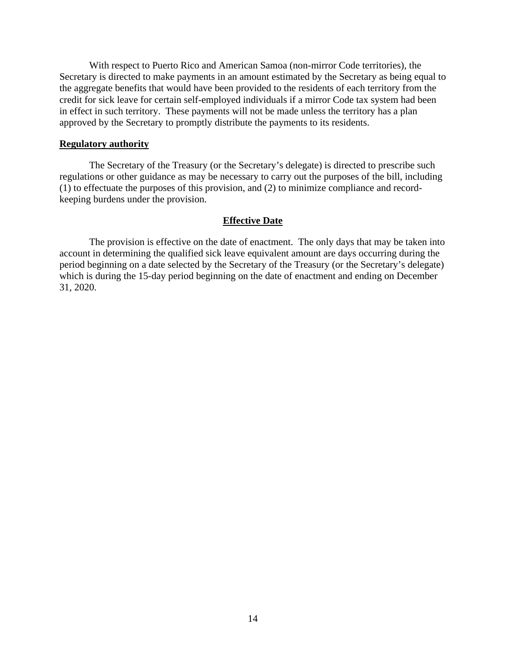With respect to Puerto Rico and American Samoa (non-mirror Code territories), the Secretary is directed to make payments in an amount estimated by the Secretary as being equal to the aggregate benefits that would have been provided to the residents of each territory from the credit for sick leave for certain self-employed individuals if a mirror Code tax system had been in effect in such territory. These payments will not be made unless the territory has a plan approved by the Secretary to promptly distribute the payments to its residents.

#### **Regulatory authority**

The Secretary of the Treasury (or the Secretary's delegate) is directed to prescribe such regulations or other guidance as may be necessary to carry out the purposes of the bill, including (1) to effectuate the purposes of this provision, and (2) to minimize compliance and recordkeeping burdens under the provision.

#### **Effective Date**

The provision is effective on the date of enactment. The only days that may be taken into account in determining the qualified sick leave equivalent amount are days occurring during the period beginning on a date selected by the Secretary of the Treasury (or the Secretary's delegate) which is during the 15-day period beginning on the date of enactment and ending on December 31, 2020.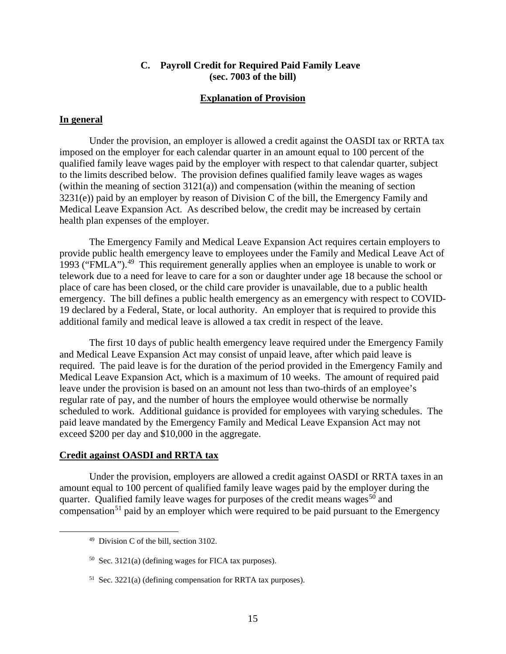## **C. Payroll Credit for Required Paid Family Leave (sec. 7003 of the bill)**

#### **Explanation of Provision**

#### <span id="page-16-0"></span>**In general**

Under the provision, an employer is allowed a credit against the OASDI tax or RRTA tax imposed on the employer for each calendar quarter in an amount equal to 100 percent of the qualified family leave wages paid by the employer with respect to that calendar quarter, subject to the limits described below. The provision defines qualified family leave wages as wages (within the meaning of section 3121(a)) and compensation (within the meaning of section 3231(e)) paid by an employer by reason of Division C of the bill, the Emergency Family and Medical Leave Expansion Act. As described below, the credit may be increased by certain health plan expenses of the employer.

The Emergency Family and Medical Leave Expansion Act requires certain employers to provide public health emergency leave to employees under the Family and Medical Leave Act of 1993 ("FMLA").<sup>49</sup> This requirement generally applies when an employee is unable to work or telework due to a need for leave to care for a son or daughter under age 18 because the school or place of care has been closed, or the child care provider is unavailable, due to a public health emergency. The bill defines a public health emergency as an emergency with respect to COVID-19 declared by a Federal, State, or local authority. An employer that is required to provide this additional family and medical leave is allowed a tax credit in respect of the leave.

The first 10 days of public health emergency leave required under the Emergency Family and Medical Leave Expansion Act may consist of unpaid leave, after which paid leave is required. The paid leave is for the duration of the period provided in the Emergency Family and Medical Leave Expansion Act, which is a maximum of 10 weeks. The amount of required paid leave under the provision is based on an amount not less than two-thirds of an employee's regular rate of pay, and the number of hours the employee would otherwise be normally scheduled to work. Additional guidance is provided for employees with varying schedules. The paid leave mandated by the Emergency Family and Medical Leave Expansion Act may not exceed \$200 per day and \$10,000 in the aggregate.

#### **Credit against OASDI and RRTA tax**

<span id="page-16-1"></span>Under the provision, employers are allowed a credit against OASDI or RRTA taxes in an amount equal to 100 percent of qualified family leave wages paid by the employer during the quarter. Qualified family leave wages for purposes of the credit means wages<sup>[50](#page-16-2)</sup> and compensation<sup>[51](#page-16-3)</sup> paid by an employer which were required to be paid pursuant to the Emergency

<sup>49</sup> Division C of the bill, section 3102.

<span id="page-16-2"></span> $50$  Sec. 3121(a) (defining wages for FICA tax purposes).

<span id="page-16-3"></span><sup>51</sup> Sec. 3221(a) (defining compensation for RRTA tax purposes).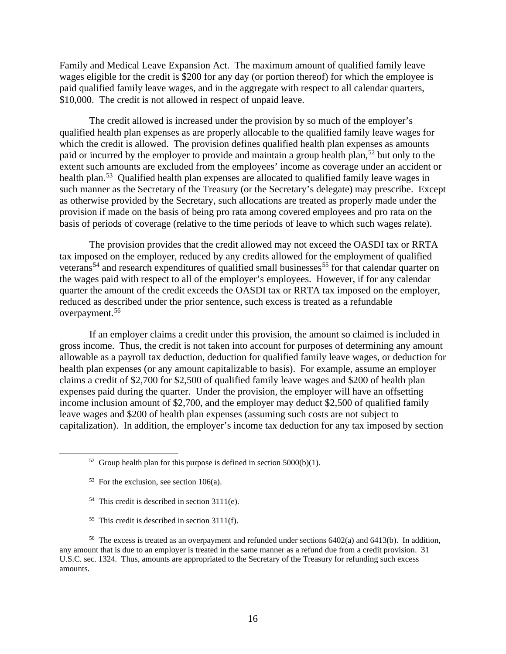Family and Medical Leave Expansion Act. The maximum amount of qualified family leave wages eligible for the credit is \$200 for any day (or portion thereof) for which the employee is paid qualified family leave wages, and in the aggregate with respect to all calendar quarters, \$10,000. The credit is not allowed in respect of unpaid leave.

The credit allowed is increased under the provision by so much of the employer's qualified health plan expenses as are properly allocable to the qualified family leave wages for which the credit is allowed. The provision defines qualified health plan expenses as amounts paid or incurred by the employer to provide and maintain a group health plan,  $52$  but only to the extent such amounts are excluded from the employees' income as coverage under an accident or health plan.<sup>53</sup> Qualified health plan expenses are allocated to qualified family leave wages in such manner as the Secretary of the Treasury (or the Secretary's delegate) may prescribe. Except as otherwise provided by the Secretary, such allocations are treated as properly made under the provision if made on the basis of being pro rata among covered employees and pro rata on the basis of periods of coverage (relative to the time periods of leave to which such wages relate).

The provision provides that the credit allowed may not exceed the OASDI tax or RRTA tax imposed on the employer, reduced by any credits allowed for the employment of qualified veterans<sup>[54](#page-17-2)</sup> and research expenditures of qualified small businesses<sup>[55](#page-17-3)</sup> for that calendar quarter on the wages paid with respect to all of the employer's employees. However, if for any calendar quarter the amount of the credit exceeds the OASDI tax or RRTA tax imposed on the employer, reduced as described under the prior sentence, such excess is treated as a refundable overpayment.[56](#page-17-4)

If an employer claims a credit under this provision, the amount so claimed is included in gross income. Thus, the credit is not taken into account for purposes of determining any amount allowable as a payroll tax deduction, deduction for qualified family leave wages, or deduction for health plan expenses (or any amount capitalizable to basis). For example, assume an employer claims a credit of \$2,700 for \$2,500 of qualified family leave wages and \$200 of health plan expenses paid during the quarter. Under the provision, the employer will have an offsetting income inclusion amount of \$2,700, and the employer may deduct \$2,500 of qualified family leave wages and \$200 of health plan expenses (assuming such costs are not subject to capitalization). In addition, the employer's income tax deduction for any tax imposed by section

- $54$  This credit is described in section 3111(e).
- <sup>55</sup> This credit is described in section 3111(f).

<span id="page-17-0"></span> $52$  Group health plan for this purpose is defined in section  $5000(b)(1)$ .

 $53$  For the exclusion, see section 106(a).

<span id="page-17-4"></span><span id="page-17-3"></span><span id="page-17-2"></span><span id="page-17-1"></span><sup>56</sup> The excess is treated as an overpayment and refunded under sections 6402(a) and 6413(b). In addition, any amount that is due to an employer is treated in the same manner as a refund due from a credit provision. 31 U.S.C. sec. 1324. Thus, amounts are appropriated to the Secretary of the Treasury for refunding such excess amounts.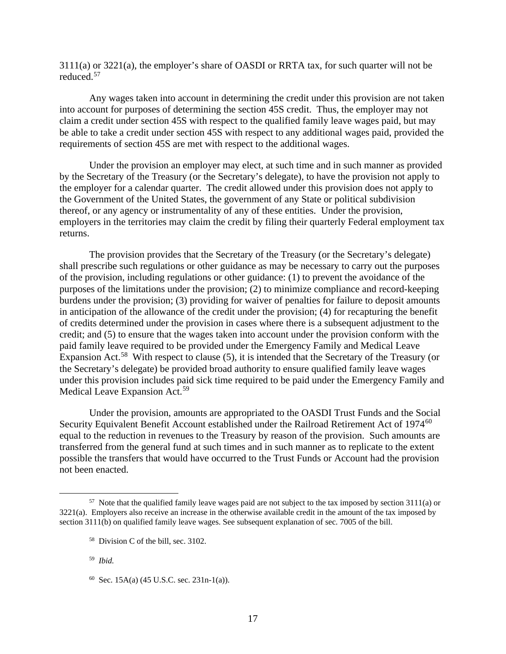3111(a) or 3221(a), the employer's share of OASDI or RRTA tax, for such quarter will not be reduced.[57](#page-18-0) 

Any wages taken into account in determining the credit under this provision are not taken into account for purposes of determining the section 45S credit. Thus, the employer may not claim a credit under section 45S with respect to the qualified family leave wages paid, but may be able to take a credit under section 45S with respect to any additional wages paid, provided the requirements of section 45S are met with respect to the additional wages.

Under the provision an employer may elect, at such time and in such manner as provided by the Secretary of the Treasury (or the Secretary's delegate), to have the provision not apply to the employer for a calendar quarter. The credit allowed under this provision does not apply to the Government of the United States, the government of any State or political subdivision thereof, or any agency or instrumentality of any of these entities. Under the provision, employers in the territories may claim the credit by filing their quarterly Federal employment tax returns.

The provision provides that the Secretary of the Treasury (or the Secretary's delegate) shall prescribe such regulations or other guidance as may be necessary to carry out the purposes of the provision, including regulations or other guidance: (1) to prevent the avoidance of the purposes of the limitations under the provision; (2) to minimize compliance and record-keeping burdens under the provision; (3) providing for waiver of penalties for failure to deposit amounts in anticipation of the allowance of the credit under the provision; (4) for recapturing the benefit of credits determined under the provision in cases where there is a subsequent adjustment to the credit; and (5) to ensure that the wages taken into account under the provision conform with the paid family leave required to be provided under the Emergency Family and Medical Leave Expansion Act.<sup>58</sup> With respect to clause (5), it is intended that the Secretary of the Treasury (or the Secretary's delegate) be provided broad authority to ensure qualified family leave wages under this provision includes paid sick time required to be paid under the Emergency Family and Medical Leave Expansion Act.<sup>[59](#page-18-2)</sup>

Under the provision, amounts are appropriated to the OASDI Trust Funds and the Social Security Equivalent Benefit Account established under the Railroad Retirement Act of 1974<sup>[60](#page-18-3)</sup> equal to the reduction in revenues to the Treasury by reason of the provision. Such amounts are transferred from the general fund at such times and in such manner as to replicate to the extent possible the transfers that would have occurred to the Trust Funds or Account had the provision not been enacted.

<span id="page-18-2"></span><span id="page-18-1"></span><span id="page-18-0"></span><sup>57</sup> Note that the qualified family leave wages paid are not subject to the tax imposed by section 3111(a) or 3221(a). Employers also receive an increase in the otherwise available credit in the amount of the tax imposed by section 3111(b) on qualified family leave wages. See subsequent explanation of sec. 7005 of the bill.

<sup>58</sup> Division C of the bill, sec. 3102.

<sup>59</sup> *Ibid.*

<span id="page-18-3"></span> $60$  Sec. 15A(a) (45 U.S.C. sec. 231n-1(a)).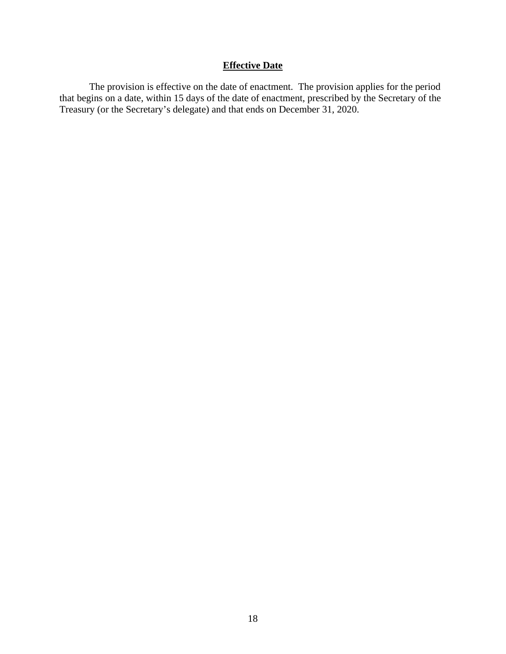## **Effective Date**

<span id="page-19-0"></span>The provision is effective on the date of enactment. The provision applies for the period that begins on a date, within 15 days of the date of enactment, prescribed by the Secretary of the Treasury (or the Secretary's delegate) and that ends on December 31, 2020.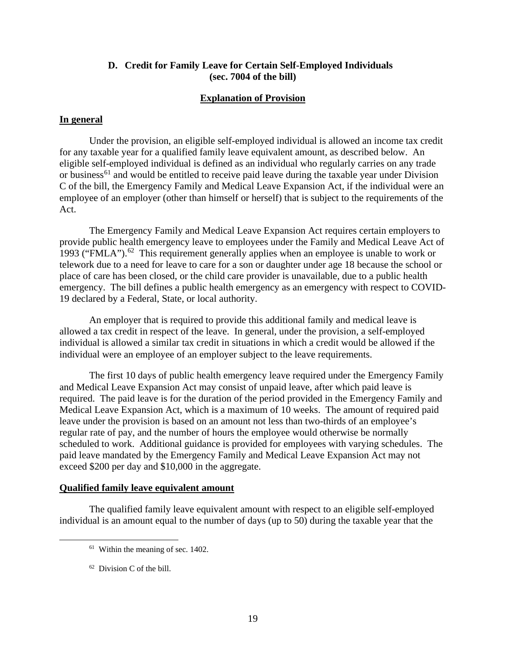## **D. Credit for Family Leave for Certain Self-Employed Individuals (sec. 7004 of the bill)**

#### **Explanation of Provision**

#### **In general**

Under the provision, an eligible self-employed individual is allowed an income tax credit for any taxable year for a qualified family leave equivalent amount, as described below. An eligible self-employed individual is defined as an individual who regularly carries on any trade or business<sup>[61](#page-20-0)</sup> and would be entitled to receive paid leave during the taxable year under Division C of the bill, the Emergency Family and Medical Leave Expansion Act, if the individual were an employee of an employer (other than himself or herself) that is subject to the requirements of the Act.

The Emergency Family and Medical Leave Expansion Act requires certain employers to provide public health emergency leave to employees under the Family and Medical Leave Act of 1993 ("FMLA").<sup>62</sup> This requirement generally applies when an employee is unable to work or telework due to a need for leave to care for a son or daughter under age 18 because the school or place of care has been closed, or the child care provider is unavailable, due to a public health emergency. The bill defines a public health emergency as an emergency with respect to COVID-19 declared by a Federal, State, or local authority.

An employer that is required to provide this additional family and medical leave is allowed a tax credit in respect of the leave. In general, under the provision, a self-employed individual is allowed a similar tax credit in situations in which a credit would be allowed if the individual were an employee of an employer subject to the leave requirements.

The first 10 days of public health emergency leave required under the Emergency Family and Medical Leave Expansion Act may consist of unpaid leave, after which paid leave is required. The paid leave is for the duration of the period provided in the Emergency Family and Medical Leave Expansion Act, which is a maximum of 10 weeks. The amount of required paid leave under the provision is based on an amount not less than two-thirds of an employee's regular rate of pay, and the number of hours the employee would otherwise be normally scheduled to work. Additional guidance is provided for employees with varying schedules. The paid leave mandated by the Emergency Family and Medical Leave Expansion Act may not exceed \$200 per day and \$10,000 in the aggregate.

#### **Qualified family leave equivalent amount**

<span id="page-20-1"></span><span id="page-20-0"></span>The qualified family leave equivalent amount with respect to an eligible self-employed individual is an amount equal to the number of days (up to 50) during the taxable year that the

 $61$  Within the meaning of sec. 1402.

<sup>62</sup> Division C of the bill.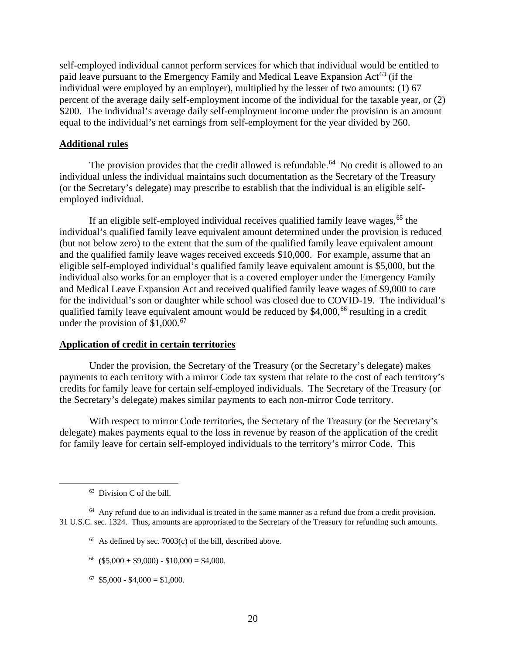self-employed individual cannot perform services for which that individual would be entitled to paid leave pursuant to the Emergency Family and Medical Leave Expansion Act<sup>[63](#page-21-0)</sup> (if the individual were employed by an employer), multiplied by the lesser of two amounts: (1) 67 percent of the average daily self-employment income of the individual for the taxable year, or (2) \$200. The individual's average daily self-employment income under the provision is an amount equal to the individual's net earnings from self-employment for the year divided by 260.

#### **Additional rules**

The provision provides that the credit allowed is refundable.<sup>[64](#page-21-1)</sup> No credit is allowed to an individual unless the individual maintains such documentation as the Secretary of the Treasury (or the Secretary's delegate) may prescribe to establish that the individual is an eligible selfemployed individual.

If an eligible self-employed individual receives qualified family leave wages,<sup>[65](#page-21-2)</sup> the individual's qualified family leave equivalent amount determined under the provision is reduced (but not below zero) to the extent that the sum of the qualified family leave equivalent amount and the qualified family leave wages received exceeds \$10,000. For example, assume that an eligible self-employed individual's qualified family leave equivalent amount is \$5,000, but the individual also works for an employer that is a covered employer under the Emergency Family and Medical Leave Expansion Act and received qualified family leave wages of \$9,000 to care for the individual's son or daughter while school was closed due to COVID-19. The individual's qualified family leave equivalent amount would be reduced by \$4,000,<sup>[66](#page-21-3)</sup> resulting in a credit under the provision of  $$1,000$ .<sup>[67](#page-21-4)</sup>

#### **Application of credit in certain territories**

Under the provision, the Secretary of the Treasury (or the Secretary's delegate) makes payments to each territory with a mirror Code tax system that relate to the cost of each territory's credits for family leave for certain self-employed individuals. The Secretary of the Treasury (or the Secretary's delegate) makes similar payments to each non-mirror Code territory.

With respect to mirror Code territories, the Secretary of the Treasury (or the Secretary's delegate) makes payments equal to the loss in revenue by reason of the application of the credit for family leave for certain self-employed individuals to the territory's mirror Code. This

- $65$  As defined by sec. 7003(c) of the bill, described above.
- $66$  (\$5,000 + \$9,000) \$10,000 = \$4,000.
- <span id="page-21-4"></span> $67$  \$5,000 - \$4,000 = \$1,000.

 $63$  Division C of the bill.

<span id="page-21-3"></span><span id="page-21-2"></span><span id="page-21-1"></span><span id="page-21-0"></span><sup>&</sup>lt;sup>64</sup> Any refund due to an individual is treated in the same manner as a refund due from a credit provision. 31 U.S.C. sec. 1324. Thus, amounts are appropriated to the Secretary of the Treasury for refunding such amounts.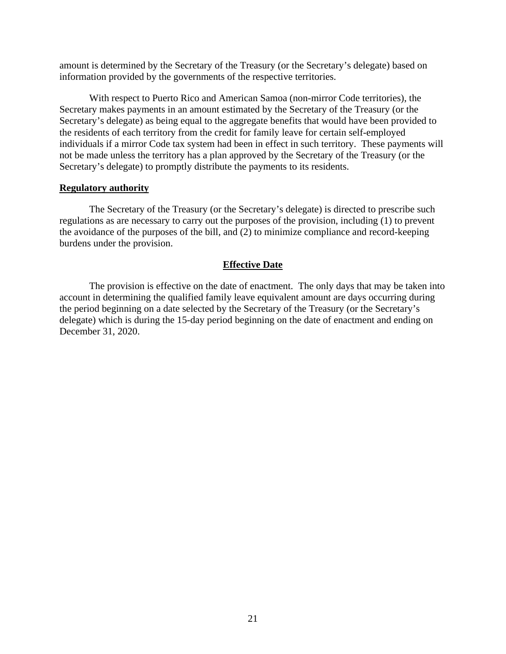amount is determined by the Secretary of the Treasury (or the Secretary's delegate) based on information provided by the governments of the respective territories.

With respect to Puerto Rico and American Samoa (non-mirror Code territories), the Secretary makes payments in an amount estimated by the Secretary of the Treasury (or the Secretary's delegate) as being equal to the aggregate benefits that would have been provided to the residents of each territory from the credit for family leave for certain self-employed individuals if a mirror Code tax system had been in effect in such territory. These payments will not be made unless the territory has a plan approved by the Secretary of the Treasury (or the Secretary's delegate) to promptly distribute the payments to its residents.

#### **Regulatory authority**

The Secretary of the Treasury (or the Secretary's delegate) is directed to prescribe such regulations as are necessary to carry out the purposes of the provision, including (1) to prevent the avoidance of the purposes of the bill, and (2) to minimize compliance and record-keeping burdens under the provision.

## **Effective Date**

The provision is effective on the date of enactment. The only days that may be taken into account in determining the qualified family leave equivalent amount are days occurring during the period beginning on a date selected by the Secretary of the Treasury (or the Secretary's delegate) which is during the 15-day period beginning on the date of enactment and ending on December 31, 2020.